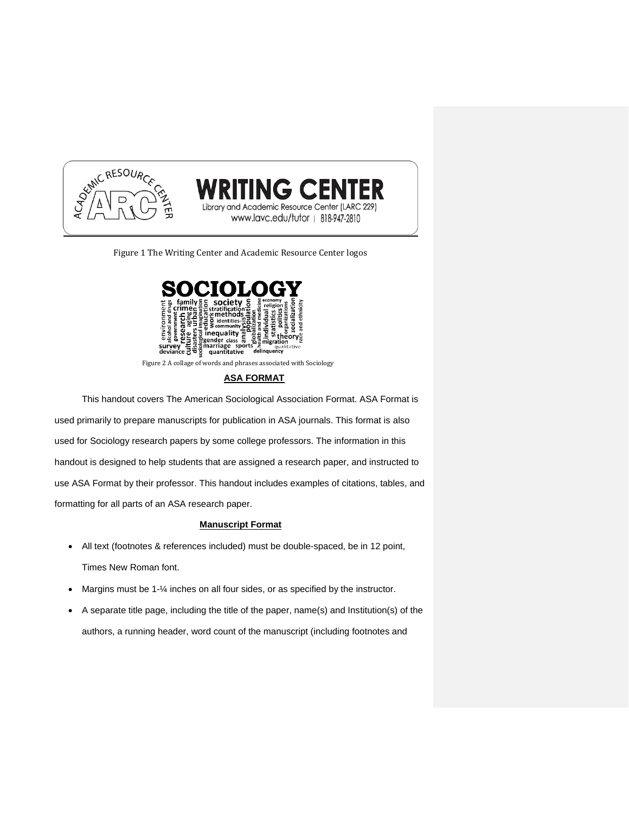

Figure 1 The Writing Center and Academic Resource Center logos

**TING CENTER** 

and Academic Resource Center (LARC 229) www.lavc.edu/tutor | 818-947-2810



# **ASA FORMAT**

This handout covers The American Sociological Association Format. ASA Format is used primarily to prepare manuscripts for publication in ASA journals. This format is also used for Sociology research papers by some college professors. The information in this handout is designed to help students that are assigned a research paper, and instructed to use ASA Format by their professor. This handout includes examples of citations, tables, and formatting for all parts of an ASA research paper.

# **Manuscript Format**

- All text (footnotes & references included) must be double-spaced, be in 12 point, Times New Roman font.
- Margins must be 1-¼ inches on all four sides, or as specified by the instructor.
- A separate title page, including the title of the paper, name(s) and Institution(s) of the authors, a running header, word count of the manuscript (including footnotes and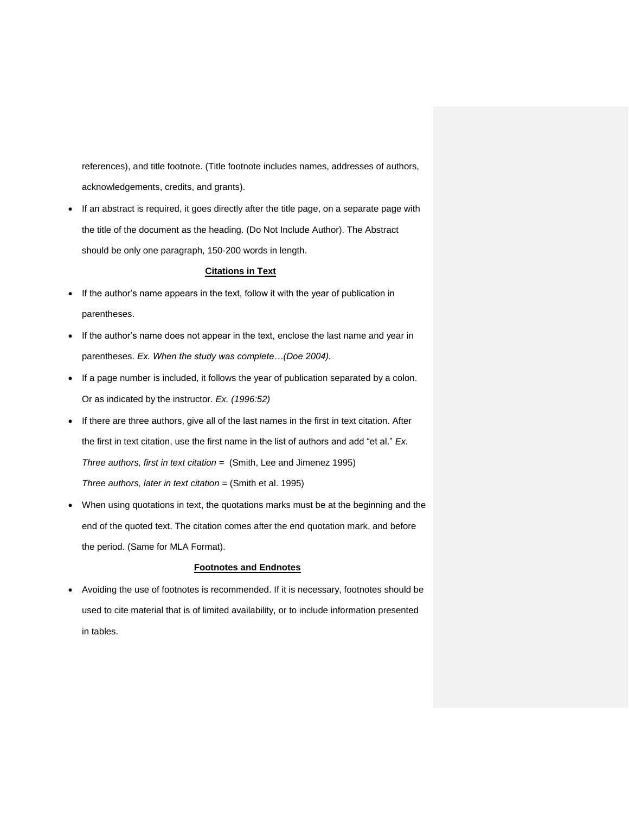references), and title footnote. (Title footnote includes names, addresses of authors, acknowledgements, credits, and grants).

 If an abstract is required, it goes directly after the title page, on a separate page with the title of the document as the heading. (Do Not Include Author). The Abstract should be only one paragraph, 150-200 words in length.

# **Citations in Text**

- If the author's name appears in the text, follow it with the year of publication in parentheses.
- If the author's name does not appear in the text, enclose the last name and year in parentheses. *Ex. When the study was complete…(Doe 2004).*
- If a page number is included, it follows the year of publication separated by a colon. Or as indicated by the instructor. *Ex. (1996:52)*
- If there are three authors, give all of the last names in the first in text citation. After the first in text citation, use the first name in the list of authors and add "et al." *Ex. Three authors, first in text citation =* (Smith, Lee and Jimenez 1995) *Three authors, later in text citation =* (Smith et al. 1995)
- When using quotations in text, the quotations marks must be at the beginning and the end of the quoted text. The citation comes after the end quotation mark, and before the period. (Same for MLA Format).

### **Footnotes and Endnotes**

 Avoiding the use of footnotes is recommended. If it is necessary, footnotes should be used to cite material that is of limited availability, or to include information presented in tables.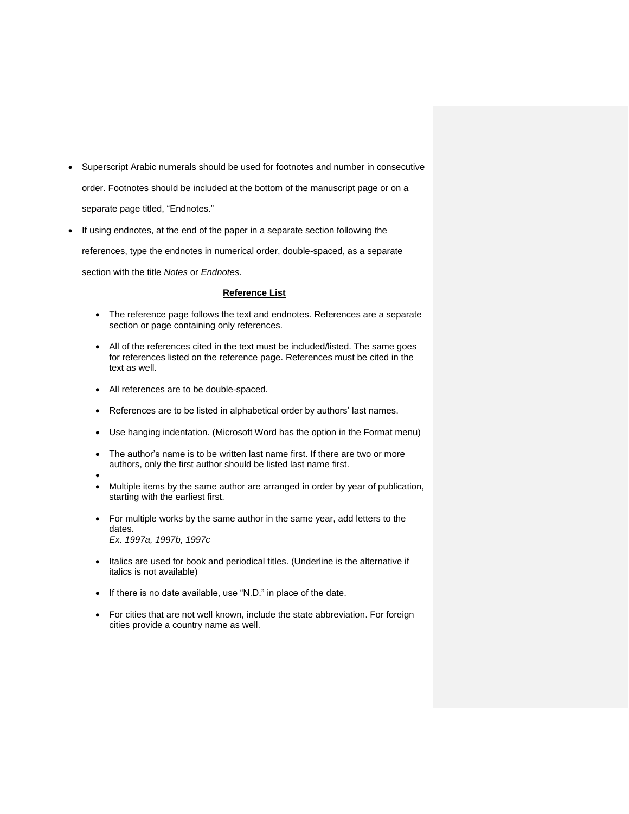- Superscript Arabic numerals should be used for footnotes and number in consecutive order. Footnotes should be included at the bottom of the manuscript page or on a separate page titled, "Endnotes."
- If using endnotes, at the end of the paper in a separate section following the references, type the endnotes in numerical order, double-spaced, as a separate section with the title *Notes* or *Endnotes*.

## **Reference List**

- The reference page follows the text and endnotes. References are a separate section or page containing only references.
- All of the references cited in the text must be included/listed. The same goes for references listed on the reference page. References must be cited in the text as well.
- All references are to be double-spaced.
- References are to be listed in alphabetical order by authors' last names.
- Use hanging indentation. (Microsoft Word has the option in the Format menu)
- The author's name is to be written last name first. If there are two or more authors, only the first author should be listed last name first.
- $\bullet$
- Multiple items by the same author are arranged in order by year of publication, starting with the earliest first.
- For multiple works by the same author in the same year, add letters to the dates. *Ex. 1997a, 1997b, 1997c*
- Italics are used for book and periodical titles. (Underline is the alternative if italics is not available)
- If there is no date available, use "N.D." in place of the date.
- For cities that are not well known, include the state abbreviation. For foreign cities provide a country name as well.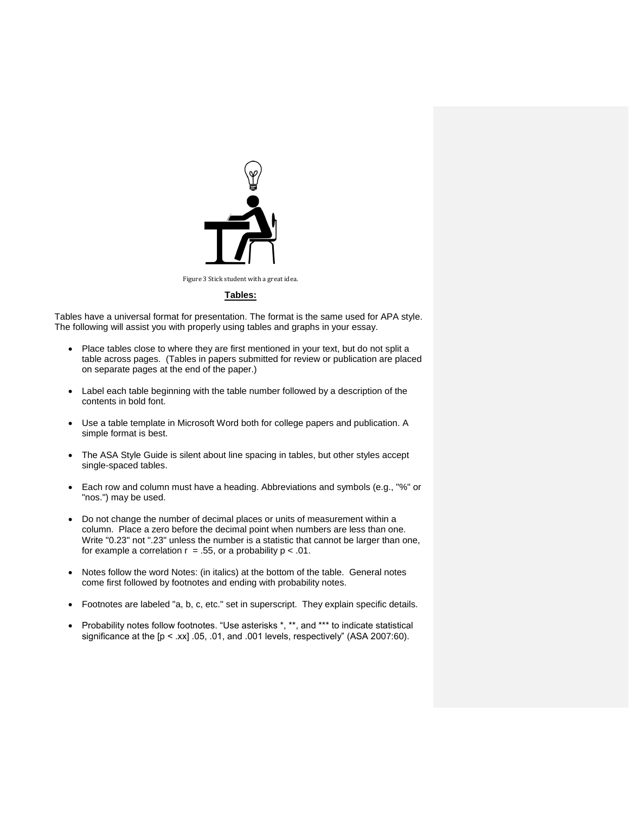

**Tables:**

Tables have a universal format for presentation. The format is the same used for APA style. The following will assist you with properly using tables and graphs in your essay.

- Place tables close to where they are first mentioned in your text, but do not split a table across pages. (Tables in papers submitted for review or publication are placed on separate pages at the end of the paper.)
- Label each table beginning with the table number followed by a description of the contents in bold font.
- Use a table template in Microsoft Word both for college papers and publication. A simple format is best.
- The ASA Style Guide is silent about line spacing in tables, but other styles accept single-spaced tables.
- Each row and column must have a heading. Abbreviations and symbols (e.g., "%" or "nos.") may be used.
- Do not change the number of decimal places or units of measurement within a column. Place a zero before the decimal point when numbers are less than one. Write "0.23" not ".23" unless the number is a statistic that cannot be larger than one, for example a correlation  $r = .55$ , or a probability  $p < .01$ .
- Notes follow the word Notes: (in italics) at the bottom of the table. General notes come first followed by footnotes and ending with probability notes.
- Footnotes are labeled "a, b, c, etc." set in superscript. They explain specific details.
- Probability notes follow footnotes. "Use asterisks \*, \*\*, and \*\*\* to indicate statistical significance at the  $[p < xx]$  .05, .01, and .001 levels, respectively" (ASA 2007:60).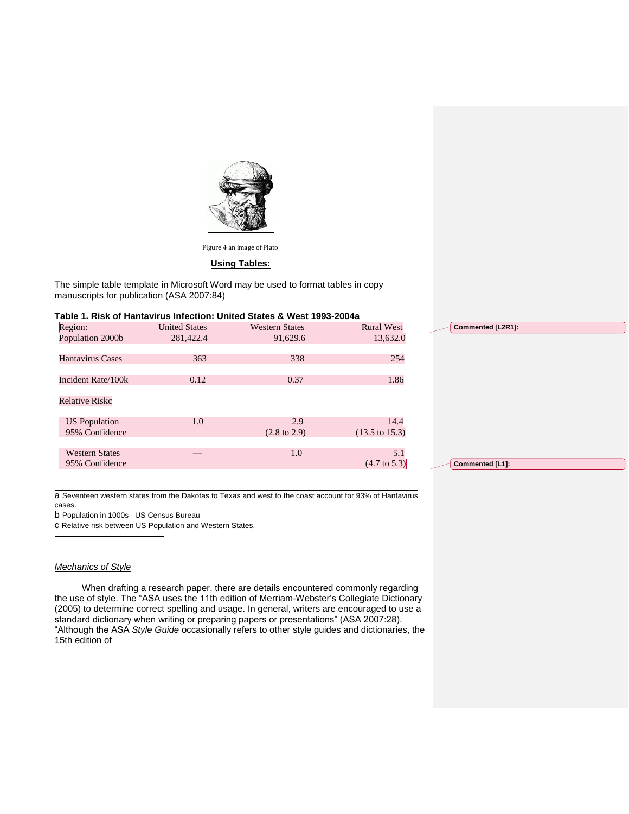

Figure 4 an image of Plato

## **Using Tables:**

The simple table template in Microsoft Word may be used to format tables in copy manuscripts for publication (ASA 2007:84)

#### **Table 1. Risk of Hantavirus Infection: United States & West 1993-2004a**

| Region:                 | <b>United States</b> | <b>Western States</b>   | <b>Rural West</b>         | Commented [L2R1]: |  |
|-------------------------|----------------------|-------------------------|---------------------------|-------------------|--|
| Population 2000b        | 281,422.4            | 91,629.6                | 13,632.0                  |                   |  |
|                         |                      |                         |                           |                   |  |
| <b>Hantavirus Cases</b> | 363                  | 338                     | 254                       |                   |  |
|                         |                      |                         |                           |                   |  |
| Incident Rate/100k      | 0.12                 | 0.37                    | 1.86                      |                   |  |
|                         |                      |                         |                           |                   |  |
| <b>Relative Riskc</b>   |                      |                         |                           |                   |  |
|                         |                      |                         |                           |                   |  |
| <b>US</b> Population    | 1.0                  | 2.9                     | 14.4                      |                   |  |
| 95% Confidence          |                      | $(2.8 \text{ to } 2.9)$ | $(13.5 \text{ to } 15.3)$ |                   |  |
|                         |                      |                         |                           |                   |  |
| <b>Western States</b>   |                      | 1.0                     | 5.1                       |                   |  |
| 95% Confidence          |                      |                         | $(4.7 \text{ to } 5.3)$   | Commented [L1]:   |  |
|                         |                      |                         |                           |                   |  |
|                         |                      |                         |                           |                   |  |

a Seventeen western states from the Dakotas to Texas and west to the coast account for 93% of Hantavirus cases.

b Population in 1000s US Census Bureau

c Relative risk between US Population and Western States.

#### *Mechanics of Style*

1

When drafting a research paper, there are details encountered commonly regarding the use of style. The "ASA uses the 11th edition of Merriam-Webster's Collegiate Dictionary (2005) to determine correct spelling and usage. In general, writers are encouraged to use a standard dictionary when writing or preparing papers or presentations" (ASA 2007:28). "Although the ASA *Style Guide* occasionally refers to other style guides and dictionaries, the 15th edition of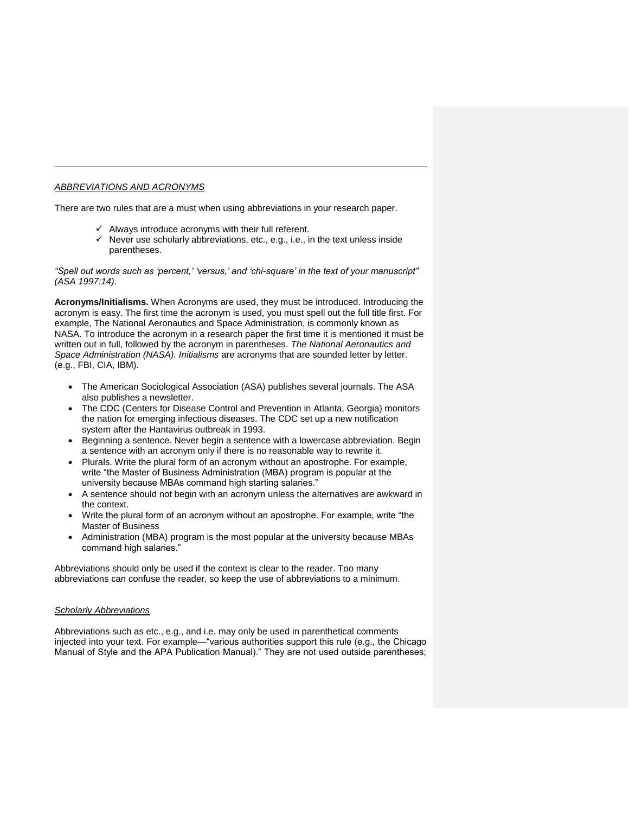## *ABBREVIATIONS AND ACRONYMS*

j

There are two rules that are a must when using abbreviations in your research paper.

- $\checkmark$  Always introduce acronyms with their full referent.
- $\checkmark$  Never use scholarly abbreviations, etc., e.g., i.e., in the text unless inside parentheses.

*"Spell out words such as 'percent,' 'versus,' and 'chi-square' in the text of your manuscript" (ASA 1997:14).*

**Acronyms/Initialisms.** When Acronyms are used, they must be introduced. Introducing the acronym is easy. The first time the acronym is used, you must spell out the full title first. For example, The National Aeronautics and Space Administration, is commonly known as NASA. To introduce the acronym in a research paper the first time it is mentioned it must be written out in full, followed by the acronym in parentheses. *The National Aeronautics and Space Administration (NASA). Initialisms* are acronyms that are sounded letter by letter. (e.g., FBI, CIA, IBM).

- The American Sociological Association (ASA) publishes several journals. The ASA also publishes a newsletter.
- The CDC (Centers for Disease Control and Prevention in Atlanta, Georgia) monitors the nation for emerging infectious diseases. The CDC set up a new notification system after the Hantavirus outbreak in 1993.
- Beginning a sentence. Never begin a sentence with a lowercase abbreviation. Begin a sentence with an acronym only if there is no reasonable way to rewrite it.
- Plurals. Write the plural form of an acronym without an apostrophe. For example, write "the Master of Business Administration (MBA) program is popular at the university because MBAs command high starting salaries."
- A sentence should not begin with an acronym unless the alternatives are awkward in the context.
- Write the plural form of an acronym without an apostrophe. For example, write "the Master of Business
- Administration (MBA) program is the most popular at the university because MBAs command high salaries."

Abbreviations should only be used if the context is clear to the reader. Too many abbreviations can confuse the reader, so keep the use of abbreviations to a minimum.

## *Scholarly Abbreviations*

Abbreviations such as etc., e.g., and i.e. may only be used in parenthetical comments injected into your text. For example—"various authorities support this rule (e.g., the Chicago Manual of Style and the APA Publication Manual)." They are not used outside parentheses;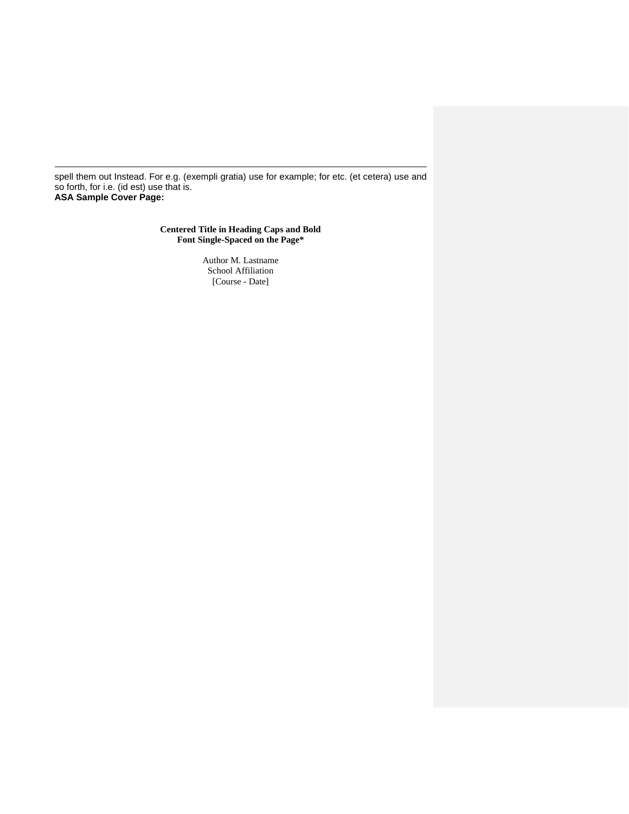spell them out Instead. For e.g. (exempli gratia) use for example; for etc. (et cetera) use and so forth, for i.e. (id est) use that is. **ASA Sample Cover Page:**

j

# **Centered Title in Heading Caps and Bold Font Single-Spaced on the Page\***

Author M. Lastname School Affiliation [Course - Date]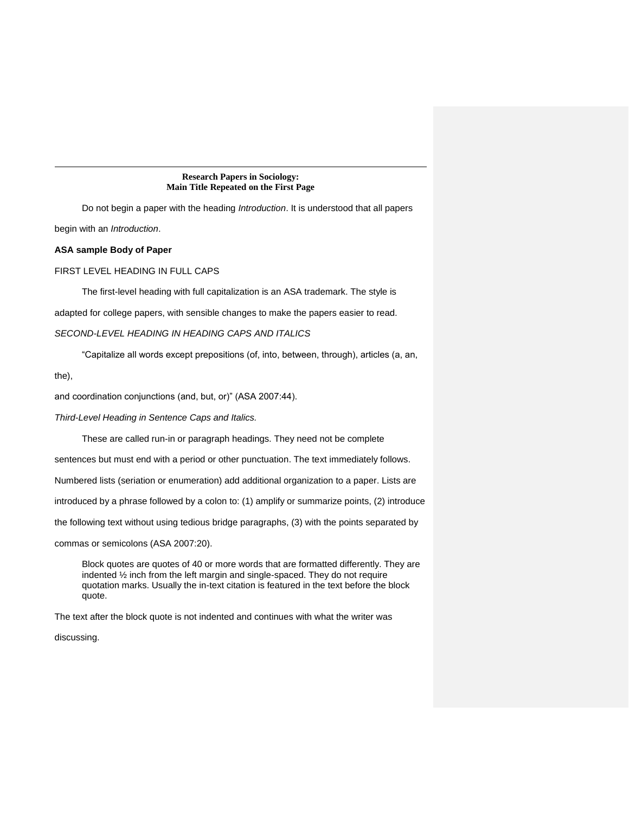### **Research Papers in Sociology: Main Title Repeated on the First Page**

Do not begin a paper with the heading *Introduction*. It is understood that all papers begin with an *Introduction*.

### **ASA sample Body of Paper**

FIRST LEVEL HEADING IN FULL CAPS

The first-level heading with full capitalization is an ASA trademark. The style is

adapted for college papers, with sensible changes to make the papers easier to read.

## *SECOND-LEVEL HEADING IN HEADING CAPS AND ITALICS*

"Capitalize all words except prepositions (of, into, between, through), articles (a, an,

the),

j

and coordination conjunctions (and, but, or)" (ASA 2007:44).

*Third-Level Heading in Sentence Caps and Italics.* 

These are called run-in or paragraph headings. They need not be complete

sentences but must end with a period or other punctuation. The text immediately follows.

Numbered lists (seriation or enumeration) add additional organization to a paper. Lists are

introduced by a phrase followed by a colon to: (1) amplify or summarize points, (2) introduce

the following text without using tedious bridge paragraphs, (3) with the points separated by

commas or semicolons (ASA 2007:20).

Block quotes are quotes of 40 or more words that are formatted differently. They are indented ½ inch from the left margin and single-spaced. They do not require quotation marks. Usually the in-text citation is featured in the text before the block quote.

The text after the block quote is not indented and continues with what the writer was

discussing.